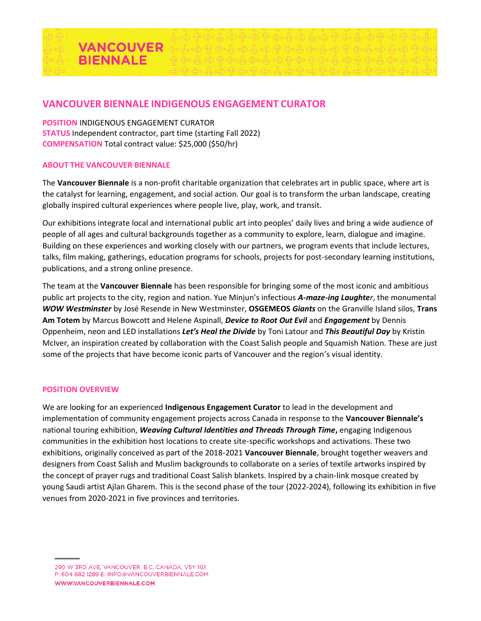

# **VANCOUVER BIENNALE INDIGENOUS ENGAGEMENT CURATOR**

**POSITION** INDIGENOUS ENGAGEMENT CURATOR **STATUS** Independent contractor, part time (starting Fall 2022) **COMPENSATION** Total contract value: \$25,000 (\$50/hr)

#### **ABOUT THE VANCOUVER BIENNALE**

The **Vancouver Biennale** is a non-profit charitable organization that celebrates art in public space, where art is the catalyst for learning, engagement, and social action. Our goal is to transform the urban landscape, creating globally inspired cultural experiences where people live, play, work, and transit.

Our exhibitions integrate local and international public art into peoples' daily lives and bring a wide audience of people of all ages and cultural backgrounds together as a community to explore, learn, dialogue and imagine. Building on these experiences and working closely with our partners, we program events that include lectures, talks, film making, gatherings, education programs for schools, projects for post-secondary learning institutions, publications, and a strong online presence.

The team at the **Vancouver Biennale** has been responsible for bringing some of the most iconic and ambitious public art projects to the city, region and nation. Yue Minjun's infectious *A-maze-ing Laughter*, the monumental *WOW Westminster* by José Resende in New Westminster, **OSGEMEOS** *Giants* on the Granville Island silos, **Trans Am Totem** by Marcus Bowcott and Helene Aspinall, *Device to Root Out Evil* and *Engagement* by Dennis Oppenheim, neon and LED installations *Let's Heal the Divide* by Toni Latour and *This Beautiful Day* by Kristin McIver, an inspiration created by collaboration with the Coast Salish people and Squamish Nation. These are just some of the projects that have become iconic parts of Vancouver and the region's visual identity.

## **POSITION OVERVIEW**

We are looking for an experienced **Indigenous Engagement Curator** to lead in the development and implementation of community engagement projects across Canada in response to the **Vancouver Biennale's** national touring exhibition, *Weaving Cultural Identities and Threads Through Time***,** engaging Indigenous communities in the exhibition host locations to create site-specific workshops and activations. These two exhibitions, originally conceived as part of the 2018-2021 **Vancouver Biennale**, brought together weavers and designers from Coast Salish and Muslim backgrounds to collaborate on a series of textile artworks inspired by the concept of prayer rugs and traditional Coast Salish blankets. Inspired by a chain-link mosque created by young Saudi artist Ajlan Gharem. This is the second phase of the tour (2022-2024), following its exhibition in five venues from 2020-2021 in five provinces and territories.

<sup>290</sup> W 3RD AVE, VANCOUVER, B.C, CANADA, V5Y 1G1 P: 604 682 1289 E: INFO@VANCOUVERBIENNALE.COM WWW.VANCOUVERBIENNALE.COM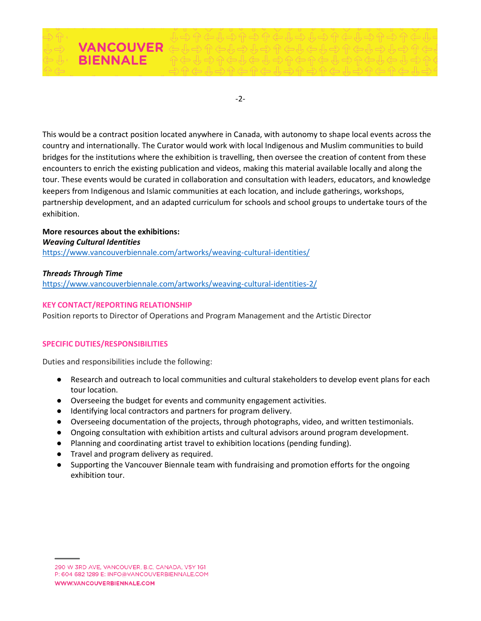

-2-

This would be a contract position located anywhere in Canada, with autonomy to shape local events across the country and internationally. The Curator would work with local Indigenous and Muslim communities to build bridges for the institutions where the exhibition is travelling, then oversee the creation of content from these encounters to enrich the existing publication and videos, making this material available locally and along the tour. These events would be curated in collaboration and consultation with leaders, educators, and knowledge keepers from Indigenous and Islamic communities at each location, and include gatherings, workshops, partnership development, and an adapted curriculum for schools and school groups to undertake tours of the exhibition.

**More resources about the exhibitions:** *Weaving Cultural Identities* <https://www.vancouverbiennale.com/artworks/weaving-cultural-identities/>

## *Threads Through Time*

<https://www.vancouverbiennale.com/artworks/weaving-cultural-identities-2/>

## **KEY CONTACT/REPORTING RELATIONSHIP**

Position reports to Director of Operations and Program Management and the Artistic Director

## **SPECIFIC DUTIES/RESPONSIBILITIES**

Duties and responsibilities include the following:

- Research and outreach to local communities and cultural stakeholders to develop event plans for each tour location.
- Overseeing the budget for events and community engagement activities.
- Identifying local contractors and partners for program delivery.
- Overseeing documentation of the projects, through photographs, video, and written testimonials.
- Ongoing consultation with exhibition artists and cultural advisors around program development.
- Planning and coordinating artist travel to exhibition locations (pending funding).
- Travel and program delivery as required.
- Supporting the Vancouver Biennale team with fundraising and promotion efforts for the ongoing exhibition tour.